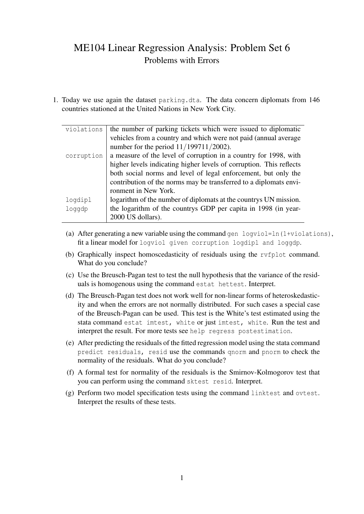## ME104 Linear Regression Analysis: Problem Set 6 Problems with Errors

1. Today we use again the dataset parking.dta. The data concern diplomats from 146 countries stationed at the United Nations in New York City.

| violations | the number of parking tickets which were issued to diplomatic       |  |  |  |  |  |
|------------|---------------------------------------------------------------------|--|--|--|--|--|
|            | vehicles from a country and which were not paid (annual average     |  |  |  |  |  |
|            | number for the period $11/199711/2002$ ).                           |  |  |  |  |  |
| corruption | a measure of the level of corruption in a country for 1998, with    |  |  |  |  |  |
|            | higher levels indicating higher levels of corruption. This reflects |  |  |  |  |  |
|            | both social norms and level of legal enforcement, but only the      |  |  |  |  |  |
|            | contribution of the norms may be transferred to a diplomats envi-   |  |  |  |  |  |
|            | ronment in New York.                                                |  |  |  |  |  |
| logdipl    | logarithm of the number of diplomats at the countrys UN mission.    |  |  |  |  |  |
| loqqdp     | the logarithm of the countrys GDP per capita in 1998 (in year-      |  |  |  |  |  |
|            | 2000 US dollars).                                                   |  |  |  |  |  |
|            |                                                                     |  |  |  |  |  |

- (a) After generating a new variable using the command gen logviol=ln(1+violations), fit a linear model for logviol given corruption logdipl and loggdp.
- (b) Graphically inspect homoscedasticity of residuals using the rvfplot command. What do you conclude?
- (c) Use the Breusch-Pagan test to test the null hypothesis that the variance of the residuals is homogenous using the command estat hettest. Interpret.
- (d) The Breusch-Pagan test does not work well for non-linear forms of heteroskedasticity and when the errors are not normally distributed. For such cases a special case of the Breusch-Pagan can be used. This test is the White's test estimated using the stata command estat imtest, white or just imtest, white. Run the test and interpret the result. For more tests see help regress postestimation.
- (e) After predicting the residuals of the fitted regression model using the stata command predict residuals, resid use the commands qnorm and pnorm to check the normality of the residuals. What do you conclude?
- (f) A formal test for normality of the residuals is the Smirnov-Kolmogorov test that you can perform using the command sktest resid. Interpret.
- (g) Perform two model specification tests using the command linktest and ovtest. Interpret the results of these tests.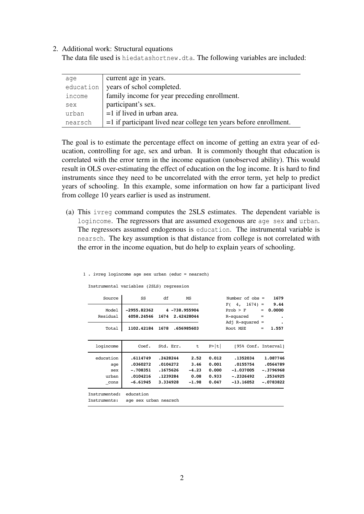## 2. Additional work: Structural equations

The data file used is hiedatashortnew.dta. The following variables are included:

| aqe       | current age in years.                                                |
|-----------|----------------------------------------------------------------------|
| education | years of schol completed.                                            |
| income    | family income for year preceding enrollment.                         |
| sex       | participant's sex.                                                   |
| urban     | $=1$ if lived in urban area.                                         |
| nearsch   | $=$ 1 if participant lived near college ten years before enrollment. |

The goal is to estimate the percentage effect on income of getting an extra year of education, controlling for age, sex and urban. It is commonly thought that education is correlated with the error term in the income equation (unobserved ability). This would result in OLS over-estimating the effect of education on the log income. It is hard to find instruments since they need to be uncorrelated with the error term, yet help to predict years of schooling. In this example, some information on how far a participant lived from college 10 years earlier is used as instrument.

(a) This ivreg command computes the 2SLS estimates. The dependent variable is logincome. The regressors that are assumed exogenous are age sex and urban. The regressors assumed endogenous is education. The instrumental variable is nearsch. The key assumption is that distance from college is not correlated with the error in the income equation, but do help to explain years of schooling.

## 1 . ivreg logincome age sex urban (educ = nearsch)

Instrumental variables (2SLS) regression

| Source                                   | SS                                                           | df<br>MS                                                 |                                            |                                           | Number of $obs =$                                                 | 1679                                                           |
|------------------------------------------|--------------------------------------------------------------|----------------------------------------------------------|--------------------------------------------|-------------------------------------------|-------------------------------------------------------------------|----------------------------------------------------------------|
| Model<br>Residual                        | $-2955.82362$<br>4058.24546                                  | 4 -738.955904<br>1674<br>2.42428044                      |                                            |                                           | $F(4, 1674) =$<br>Prob > F<br>R-squared                           | 9.44<br>0.0000<br>$=$<br>$=$                                   |
| Total                                    | 1102.42184                                                   | 1678                                                     | .656985603                                 |                                           | Adj R-squared $=$<br>Root MSE                                     | 1.557<br>$=$                                                   |
| logincome                                | Coef.                                                        | Std. Err.                                                | t                                          | P> t                                      | [95% Conf. Interval]                                              |                                                                |
| education<br>age<br>sex<br>urban<br>cons | .6114749<br>.0360272<br>$-.708351$<br>.0104216<br>$-6.61945$ | .2428244<br>.0104272<br>.1675626<br>.1239284<br>3.334928 | 2.52<br>3.46<br>$-4.23$<br>0.08<br>$-1.98$ | 0.012<br>0.001<br>0.000<br>0.933<br>0.047 | .1352034<br>.0155754<br>$-1.037005$<br>$-.2326492$<br>$-13.16052$ | 1.087746<br>.0564789<br>$-.3796968$<br>.2534925<br>$-.0783822$ |
| Instrumented:<br>Instruments:            | education<br>age sex urban nearsch                           |                                                          |                                            |                                           |                                                                   |                                                                |